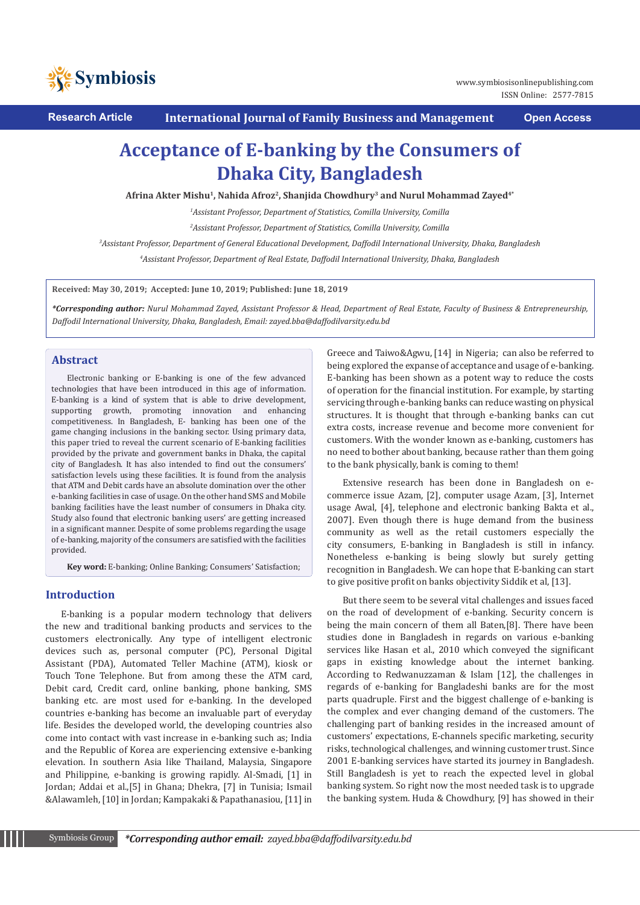

**Research Article International Journal of Family Business and Management Open Access**

# **Acceptance of E-banking by the Consumers of Dhaka City, Bangladesh**

**Afrina Akter Mishu1, Nahida Afroz2, Shanjida Chowdhury3 and Nurul Mohammad Zayed4\***

*1 Assistant Professor, Department of Statistics, Comilla University, Comilla*

*2 Assistant Professor, Department of Statistics, Comilla University, Comilla*

*3 Assistant Professor, Department of General Educational Development, Daffodil International University, Dhaka, Bangladesh*

*4 Assistant Professor, Department of Real Estate, Daffodil International University, Dhaka, Bangladesh*

**Received: May 30, 2019; Accepted: June 10, 2019; Published: June 18, 2019**

*\*Corresponding author: Nurul Mohammad Zayed, Assistant Professor & Head, Department of Real Estate, Faculty of Business & Entrepreneurship, Daffodil International University, Dhaka, Bangladesh, Email: zayed.bba@daffodilvarsity.edu.bd*

#### **Abstract**

Electronic banking or E-banking is one of the few advanced technologies that have been introduced in this age of information. E-banking is a kind of system that is able to drive development, supporting growth, promoting innovation and enhancing competitiveness. In Bangladesh, E- banking has been one of the game changing inclusions in the banking sector. Using primary data, this paper tried to reveal the current scenario of E-banking facilities provided by the private and government banks in Dhaka, the capital city of Bangladesh. It has also intended to find out the consumers' satisfaction levels using these facilities. It is found from the analysis that ATM and Debit cards have an absolute domination over the other e-banking facilities in case of usage. On the other hand SMS and Mobile banking facilities have the least number of consumers in Dhaka city. Study also found that electronic banking users' are getting increased in a significant manner. Despite of some problems regarding the usage of e-banking, majority of the consumers are satisfied with the facilities provided.

**Key word:** E-banking; Online Banking; Consumers' Satisfaction;

# **Introduction**

E-banking is a popular modern technology that delivers the new and traditional banking products and services to the customers electronically. Any type of intelligent electronic devices such as, personal computer (PC), Personal Digital Assistant (PDA), Automated Teller Machine (ATM), kiosk or Touch Tone Telephone. But from among these the ATM card, Debit card, Credit card, online banking, phone banking, SMS banking etc. are most used for e-banking. In the developed countries e-banking has become an invaluable part of everyday life. Besides the developed world, the developing countries also come into contact with vast increase in e-banking such as; India and the Republic of Korea are experiencing extensive e-banking elevation. In southern Asia like Thailand, Malaysia, Singapore and Philippine, e-banking is growing rapidly. Al-Smadi, [1] in Jordan; Addai et al.,[5] in Ghana; Dhekra, [7] in Tunisia; Ismail &Alawamleh, [10] in Jordan; Kampakaki & Papathanasiou, [11] in

Greece and Taiwo&Agwu, [14] in Nigeria; can also be referred to being explored the expanse of acceptance and usage of e-banking. E-banking has been shown as a potent way to reduce the costs of operation for the financial institution. For example, by starting servicing through e-banking banks can reduce wasting on physical structures. It is thought that through e-banking banks can cut extra costs, increase revenue and become more convenient for customers. With the wonder known as e-banking, customers has no need to bother about banking, because rather than them going to the bank physically, bank is coming to them!

Extensive research has been done in Bangladesh on ecommerce issue Azam, [2], computer usage Azam, [3], Internet usage Awal, [4], telephone and electronic banking Bakta et al., 2007]. Even though there is huge demand from the business community as well as the retail customers especially the city consumers, E-banking in Bangladesh is still in infancy. Nonetheless e-banking is being slowly but surely getting recognition in Bangladesh. We can hope that E-banking can start to give positive profit on banks objectivity Siddik et al, [13].

But there seem to be several vital challenges and issues faced on the road of development of e-banking. Security concern is being the main concern of them all Baten,[8]. There have been studies done in Bangladesh in regards on various e-banking services like Hasan et al., 2010 which conveyed the significant gaps in existing knowledge about the internet banking. According to Redwanuzzaman & Islam [12], the challenges in regards of e-banking for Bangladeshi banks are for the most parts quadruple. First and the biggest challenge of e-banking is the complex and ever changing demand of the customers. The challenging part of banking resides in the increased amount of customers' expectations, E-channels specific marketing, security risks, technological challenges, and winning customer trust. Since 2001 E-banking services have started its journey in Bangladesh. Still Bangladesh is yet to reach the expected level in global banking system. So right now the most needed task is to upgrade the banking system. Huda & Chowdhury, [9] has showed in their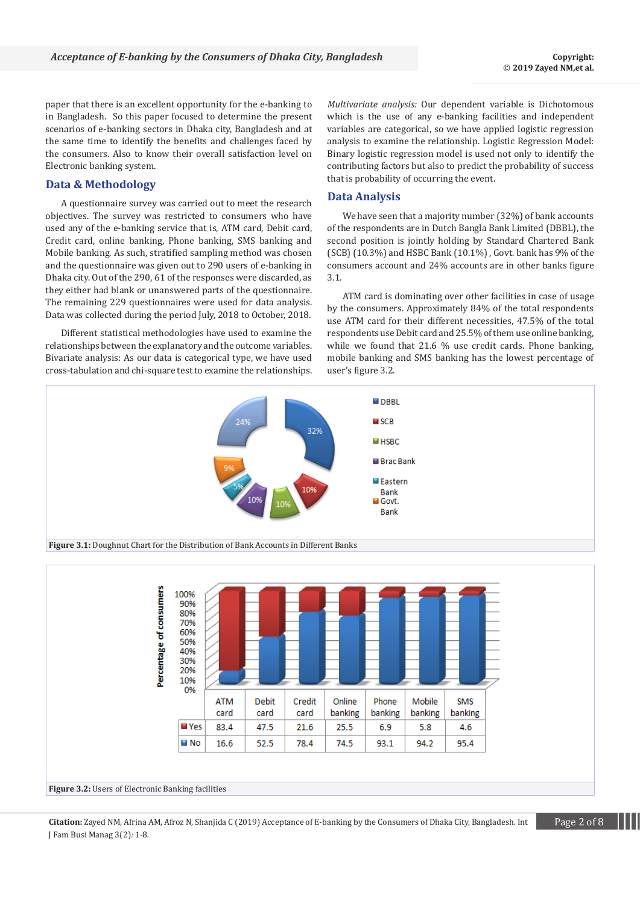paper that there is an excellent opportunity for the e-banking to in Bangladesh. So this paper focused to determine the present scenarios of e-banking sectors in Dhaka city, Bangladesh and at the same time to identify the benefits and challenges faced by the consumers. Also to know their overall satisfaction level on Electronic banking system.

## **Data & Methodology**

A questionnaire survey was carried out to meet the research objectives. The survey was restricted to consumers who have used any of the e-banking service that is, ATM card, Debit card, Credit card, online banking, Phone banking, SMS banking and Mobile banking. As such, stratified sampling method was chosen and the questionnaire was given out to 290 users of e-banking in Dhaka city. Out of the 290, 61 of the responses were discarded, as they either had blank or unanswered parts of the questionnaire. The remaining 229 questionnaires were used for data analysis. Data was collected during the period July, 2018 to October, 2018.

Different statistical methodologies have used to examine the relationships between the explanatory and the outcome variables. Bivariate analysis: As our data is categorical type, we have used cross-tabulation and chi-square test to examine the relationships.

*Multivariate analysis:* Our dependent variable is Dichotomous which is the use of any e-banking facilities and independent variables are categorical, so we have applied logistic regression analysis to examine the relationship. Logistic Regression Model: Binary logistic regression model is used not only to identify the contributing factors but also to predict the probability of success that is probability of occurring the event.

# **Data Analysis**

We have seen that a majority number (32%) of bank accounts of the respondents are in Dutch Bangla Bank Limited (DBBL), the second position is jointly holding by Standard Chartered Bank (SCB) (10.3%) and HSBC Bank (10.1%) , Govt. bank has 9% of the consumers account and 24% accounts are in other banks figure 3.1.

ATM card is dominating over other facilities in case of usage by the consumers. Approximately 84% of the total respondents use ATM card for their different necessities, 47.5% of the total respondents use Debit card and 25.5% of them use online banking, while we found that 21.6 % use credit cards. Phone banking, mobile banking and SMS banking has the lowest percentage of user's figure 3.2.





**Figure 3.2:** Users of Electronic Banking facilities

**Citation:** Zayed NM, Afrina AM, Afroz N, Shanjida C (2019) Acceptance of E-banking by the Consumers of Dhaka City, Bangladesh. Int Page 2 of 8 J Fam Busi Manag 3(2)*:* 1*-*8.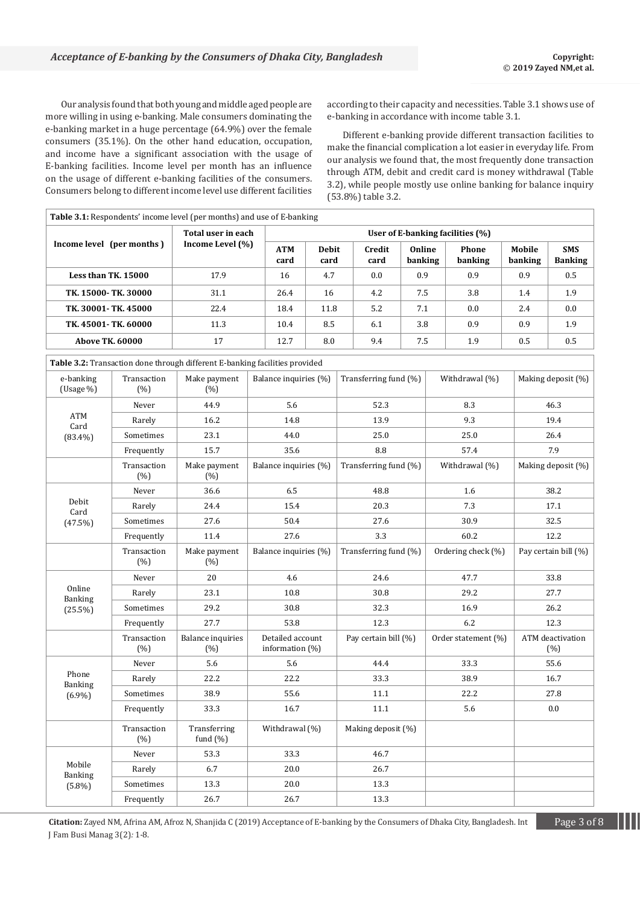Our analysis found that both young and middle aged people are more willing in using e-banking. Male consumers dominating the e-banking market in a huge percentage (64.9%) over the female consumers (35.1%). On the other hand education, occupation, and income have a significant association with the usage of E-banking facilities. Income level per month has an influence on the usage of different e-banking facilities of the consumers. Consumers belong to different income level use different facilities according to their capacity and necessities. Table 3.1 shows use of e-banking in accordance with income table 3.1.

Different e-banking provide different transaction facilities to make the financial complication a lot easier in everyday life. From our analysis we found that, the most frequently done transaction through ATM, debit and credit card is money withdrawal (Table 3.2), while people mostly use online banking for balance inquiry (53.8%) table 3.2.

|                                                  |                          | Table 3.1: Respondents' income level (per months) and use of E-banking      |      |                                        |                      |                      |                       |                   |     |                     |                   |                              |
|--------------------------------------------------|--------------------------|-----------------------------------------------------------------------------|------|----------------------------------------|----------------------|----------------------|-----------------------|-------------------|-----|---------------------|-------------------|------------------------------|
| Income level (per months)<br>Less than TK. 15000 |                          | Total user in each<br>Income Level (%)                                      |      | User of E-banking facilities (%)       |                      |                      |                       |                   |     |                     |                   |                              |
|                                                  |                          |                                                                             |      | <b>ATM</b><br>card                     | <b>Debit</b><br>card |                      | Credit<br>card        | Online<br>banking |     | Phone<br>banking    | Mobile<br>banking | <b>SMS</b><br><b>Banking</b> |
|                                                  |                          | 17.9                                                                        |      | 16                                     | 4.7                  |                      | 0.0                   | 0.9               |     | 0.9                 | 0.9               | 0.5                          |
|                                                  | TK. 15000- TK. 30000     | 31.1                                                                        |      | 26.4                                   | 16                   |                      | 4.2                   | 7.5               |     | 3.8                 | 1.4               | 1.9                          |
| TK. 30001- TK. 45000                             |                          | 22.4                                                                        |      | 18.4                                   | 11.8                 |                      | 5.2                   | 7.1               |     | 0.0                 | 2.4               | 0.0                          |
|                                                  | TK. 45001-TK. 60000      |                                                                             |      | 10.4                                   | 8.5                  |                      | 6.1                   | 3.8               |     | 0.9                 | 0.9               | 1.9                          |
| <b>Above TK. 60000</b>                           |                          | 17                                                                          |      | 12.7                                   | 8.0                  |                      | 9.4                   | 7.5               |     | 1.9                 | 0.5               | 0.5                          |
|                                                  |                          | Table 3.2: Transaction done through different E-banking facilities provided |      |                                        |                      |                      |                       |                   |     |                     |                   |                              |
| e-banking<br>(Usage %)                           | Transaction<br>(%)       | Make payment<br>(% )                                                        |      | Balance inquiries (%)                  |                      |                      | Transferring fund (%) |                   |     | Withdrawal (%)      |                   | Making deposit (%)           |
|                                                  | Never                    | 44.9                                                                        |      | 5.6                                    |                      |                      | 52.3                  |                   |     | 8.3                 |                   | 46.3                         |
| ATM<br>Card                                      | Rarely                   | 16.2                                                                        |      | 14.8                                   |                      |                      | 13.9                  |                   |     | 9.3                 |                   | 19.4                         |
| $(83.4\%)$                                       | Sometimes                | 23.1                                                                        | 44.0 |                                        | 25.0                 |                      |                       | 25.0              |     | 26.4                |                   |                              |
|                                                  | Frequently               | 15.7                                                                        | 35.6 |                                        | 8.8                  |                      |                       | 57.4              |     | 7.9                 |                   |                              |
|                                                  | Transaction<br>(%)       | Make payment<br>(% )                                                        |      | Balance inquiries (%)                  |                      |                      | Transferring fund (%) |                   |     | Withdrawal (%)      |                   | Making deposit (%)           |
|                                                  | Never                    | 36.6                                                                        | 6.5  |                                        | 48.8                 |                      |                       | 1.6               |     | 38.2                |                   |                              |
| Debit<br>Card                                    | Rarely                   | 24.4                                                                        |      | 15.4                                   |                      |                      | 20.3                  |                   |     | 7.3                 |                   | 17.1                         |
| $(47.5\%)$                                       | Sometimes                | 27.6                                                                        |      | 50.4                                   |                      |                      | 27.6                  |                   |     | 30.9                |                   | 32.5                         |
|                                                  | Frequently               | 11.4                                                                        |      | 27.6                                   |                      |                      | 3.3                   |                   |     | 60.2                |                   | 12.2                         |
|                                                  | Transaction<br>(%)       | Make payment<br>(% )                                                        |      | Balance inquiries (%)                  |                      |                      | Transferring fund (%) |                   |     | Ordering check (%)  |                   | Pay certain bill (%)         |
|                                                  | Never                    | 20                                                                          |      | 4.6                                    |                      |                      | 24.6                  |                   |     | 47.7                |                   | 33.8                         |
| Online<br><b>Banking</b>                         | Rarely                   | 23.1                                                                        |      | 10.8                                   |                      |                      | 30.8                  |                   |     | 29.2                |                   | 27.7                         |
| $(25.5\%)$                                       | Sometimes                | 29.2                                                                        |      | 30.8                                   |                      |                      | 32.3                  |                   |     | 16.9                |                   | 26.2                         |
|                                                  | Frequently               | 27.7                                                                        | 53.8 |                                        | 12.3                 |                      |                       | 6.2               |     | 12.3                |                   |                              |
|                                                  | Transaction<br>(%)       | <b>Balance inquiries</b><br>(% )                                            |      | Detailed account<br>information $(\%)$ |                      | Pay certain bill (%) |                       |                   |     | Order statement (%) |                   | ATM deactivation<br>(%)      |
|                                                  | Never                    | 5.6                                                                         | 5.6  |                                        |                      | 44.4                 |                       |                   |     | 33.3                |                   | 55.6                         |
| Phone<br><b>Banking</b>                          | Rarely                   | 22.2                                                                        |      | 22.2                                   |                      |                      | 33.3                  |                   |     | 38.9                |                   | 16.7                         |
| $(6.9\%)$                                        | $\label{eq:1} Sometimes$ | 38.9                                                                        |      | 55.6                                   |                      |                      | $11.1\,$              |                   |     | 22.2                |                   | 27.8                         |
|                                                  | Frequently               | 33.3                                                                        |      | 16.7                                   |                      | 11.1                 |                       |                   | 5.6 |                     | 0.0               |                              |
|                                                  | Transaction<br>(%)       | Transferring<br>fund $(\%)$                                                 |      | Withdrawal (%)                         |                      |                      | Making deposit (%)    |                   |     |                     |                   |                              |
|                                                  | Never                    | 53.3                                                                        |      | 33.3                                   |                      |                      | 46.7                  |                   |     |                     |                   |                              |
| Mobile<br><b>Banking</b>                         | Rarely                   | 6.7                                                                         |      | 20.0                                   |                      |                      | 26.7                  |                   |     |                     |                   |                              |
| $(5.8\%)$                                        | Sometimes                | 13.3                                                                        |      | 20.0                                   |                      |                      | 13.3                  |                   |     |                     |                   |                              |
|                                                  | Frequently               | 26.7                                                                        |      | 26.7                                   |                      |                      | 13.3                  |                   |     |                     |                   |                              |

**Citation:** Zayed NM, Afrina AM, Afroz N, Shanjida C (2019) Acceptance of E-banking by the Consumers of Dhaka City, Bangladesh. Int Page 3 of 8 J Fam Busi Manag 3(2)*:* 1*-*8.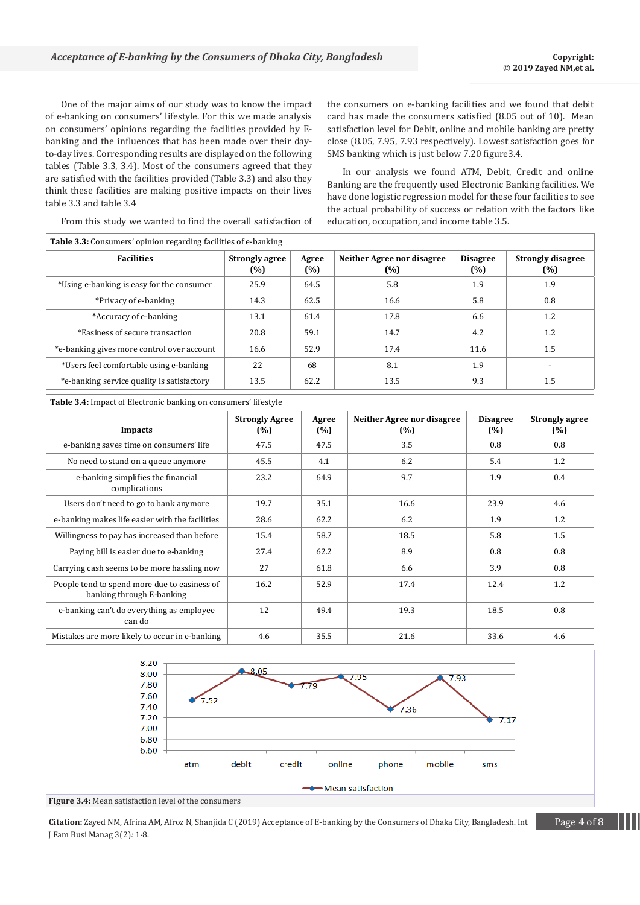One of the major aims of our study was to know the impact of e-banking on consumers' lifestyle. For this we made analysis on consumers' opinions regarding the facilities provided by Ebanking and the influences that has been made over their dayto-day lives. Corresponding results are displayed on the following tables (Table 3.3, 3.4). Most of the consumers agreed that they are satisfied with the facilities provided (Table 3.3) and also they think these facilities are making positive impacts on their lives table 3.3 and table 3.4

the consumers on e-banking facilities and we found that debit card has made the consumers satisfied (8.05 out of 10). Mean satisfaction level for Debit, online and mobile banking are pretty close (8.05, 7.95, 7.93 respectively). Lowest satisfaction goes for SMS banking which is just below 7.20 figure3.4.

In our analysis we found ATM, Debit, Credit and online Banking are the frequently used Electronic Banking facilities. We have done logistic regression model for these four facilities to see the actual probability of success or relation with the factors like education, occupation, and income table 3.5.

From this study we wanted to find the overall satisfaction of

| <b>Table 3.3:</b> Consumers' opinion regarding facilities of e-banking |                              |              |                                   |                        |                                 |  |  |
|------------------------------------------------------------------------|------------------------------|--------------|-----------------------------------|------------------------|---------------------------------|--|--|
| <b>Facilities</b>                                                      | <b>Strongly agree</b><br>(%) | Agree<br>(%) | Neither Agree nor disagree<br>(%) | <b>Disagree</b><br>(%) | <b>Strongly disagree</b><br>(%) |  |  |
| *Using e-banking is easy for the consumer                              | 25.9                         | 64.5         | 5.8                               | 1.9                    | 1.9                             |  |  |
| *Privacy of e-banking                                                  | 14.3                         | 62.5         | 16.6                              | 5.8                    | 0.8                             |  |  |
| *Accuracy of e-banking                                                 | 13.1                         | 61.4         | 17.8                              | 6.6                    | 1.2                             |  |  |
| *Easiness of secure transaction                                        | 20.8                         | 59.1         | 14.7                              | 4.2                    | 1.2                             |  |  |
| *e-banking gives more control over account                             | 16.6                         | 52.9         | 17.4                              | 11.6                   | 1.5                             |  |  |
| *Users feel comfortable using e-banking                                | 22                           | 68           | 8.1                               | 1.9                    | $\overline{\phantom{0}}$        |  |  |
| *e-banking service quality is satisfactory                             | 13.5                         | 62.2         | 13.5                              | 9.3                    | 1.5                             |  |  |
| <b>Table 3.4:</b> Impact of Electronic banking on consumers' lifestyle |                              |              |                                   |                        |                                 |  |  |

| <b>Impacts</b>                                                            | <b>Strongly Agree</b><br>(%) | Agree<br>(%) | Neither Agree nor disagree<br>(%) | <b>Disagree</b><br>(%) | <b>Strongly agree</b><br>(%) |
|---------------------------------------------------------------------------|------------------------------|--------------|-----------------------------------|------------------------|------------------------------|
| e-banking saves time on consumers' life                                   | 47.5                         | 47.5         | 3.5                               | 0.8                    | 0.8                          |
| No need to stand on a queue anymore                                       | 45.5                         | 4.1          | 6.2                               | 5.4                    | 1.2                          |
| e-banking simplifies the financial<br>complications                       | 23.2                         | 64.9         | 9.7                               | 1.9                    | 0.4                          |
| Users don't need to go to bank anymore                                    | 19.7                         | 35.1         | 16.6                              | 23.9                   | 4.6                          |
| e-banking makes life easier with the facilities                           | 28.6                         | 62.2         | 6.2                               | 1.9                    | 1.2                          |
| Willingness to pay has increased than before                              | 15.4                         | 58.7         | 18.5                              | 5.8                    | 1.5                          |
| Paying bill is easier due to e-banking                                    | 27.4                         | 62.2         | 8.9                               | 0.8                    | 0.8                          |
| Carrying cash seems to be more hassling now                               | 27                           | 61.8         | 6.6                               | 3.9                    | 0.8                          |
| People tend to spend more due to easiness of<br>banking through E-banking | 16.2                         | 52.9         | 17.4                              | 12.4                   | 1.2                          |
| e-banking can't do everything as employee<br>can do                       | 12                           | 49.4         | 19.3                              | 18.5                   | 0.8                          |
| Mistakes are more likely to occur in e-banking                            | 4.6                          | 35.5         | 21.6                              | 33.6                   | 4.6                          |



**Citation:** Zayed NM, Afrina AM, Afroz N, Shanjida C (2019) Acceptance of E-banking by the Consumers of Dhaka City, Bangladesh. Int Page 4 of 8 J Fam Busi Manag 3(2)*:* 1*-*8.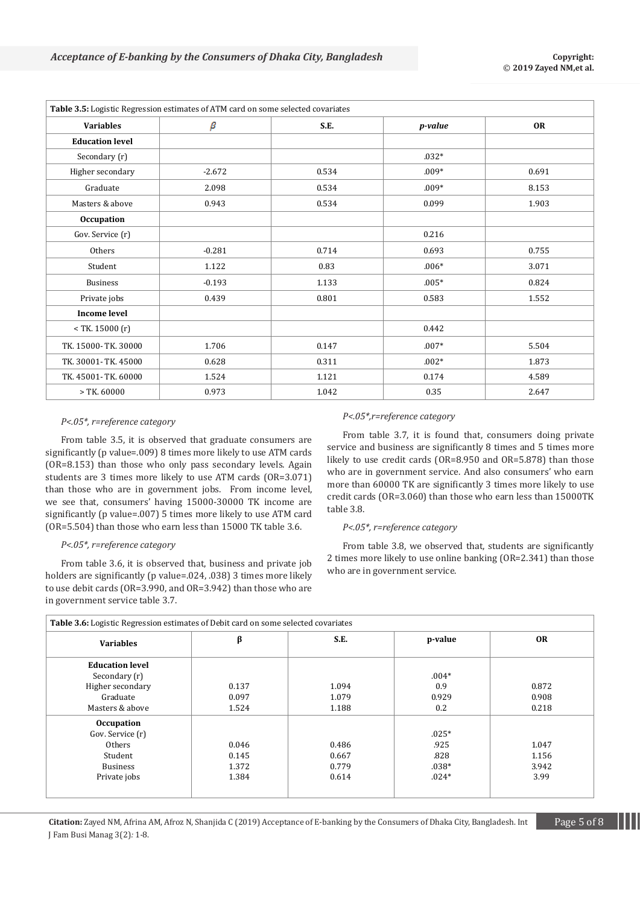| Table 3.5: Logistic Regression estimates of ATM card on some selected covariates |          |       |         |           |  |  |  |
|----------------------------------------------------------------------------------|----------|-------|---------|-----------|--|--|--|
| <b>Variables</b>                                                                 | β        | S.E.  | p-value | <b>OR</b> |  |  |  |
| <b>Education level</b>                                                           |          |       |         |           |  |  |  |
| Secondary (r)                                                                    |          |       | $.032*$ |           |  |  |  |
| Higher secondary                                                                 | $-2.672$ | 0.534 | $.009*$ | 0.691     |  |  |  |
| Graduate                                                                         | 2.098    | 0.534 | $.009*$ | 8.153     |  |  |  |
| Masters & above                                                                  | 0.943    | 0.534 | 0.099   | 1.903     |  |  |  |
| Occupation                                                                       |          |       |         |           |  |  |  |
| Gov. Service (r)                                                                 |          |       | 0.216   |           |  |  |  |
| Others                                                                           | $-0.281$ | 0.714 | 0.693   | 0.755     |  |  |  |
| Student                                                                          | 1.122    | 0.83  | $.006*$ | 3.071     |  |  |  |
| <b>Business</b>                                                                  | $-0.193$ | 1.133 | $.005*$ | 0.824     |  |  |  |
| Private jobs                                                                     | 0.439    | 0.801 | 0.583   | 1.552     |  |  |  |
| <b>Income level</b>                                                              |          |       |         |           |  |  |  |
| $<$ TK. 15000 (r)                                                                |          |       | 0.442   |           |  |  |  |
| TK. 15000- TK. 30000                                                             | 1.706    | 0.147 | $.007*$ | 5.504     |  |  |  |
| TK. 30001- TK. 45000                                                             | 0.628    | 0.311 | $.002*$ | 1.873     |  |  |  |
| TK. 45001- TK. 60000                                                             | 1.524    | 1.121 | 0.174   | 4.589     |  |  |  |
| $>$ TK, 60000                                                                    | 0.973    | 1.042 | 0.35    | 2.647     |  |  |  |

#### *P<.05\*, r=reference category*

From table 3.5, it is observed that graduate consumers are significantly (p value=.009) 8 times more likely to use ATM cards (OR=8.153) than those who only pass secondary levels. Again students are 3 times more likely to use ATM cards (OR=3.071) than those who are in government jobs. From income level, we see that, consumers' having 15000-30000 TK income are significantly (p value=.007) 5 times more likely to use ATM card (OR=5.504) than those who earn less than 15000 TK table 3.6.

#### *P<.05\*, r=reference category*

From table 3.6, it is observed that, business and private job holders are significantly (p value=.024, .038) 3 times more likely to use debit cards (OR=3.990, and OR=3.942) than those who are in government service table 3.7.

#### *P<.05\*,r=reference category*

From table 3.7, it is found that, consumers doing private service and business are significantly 8 times and 5 times more likely to use credit cards (OR=8.950 and OR=5.878) than those who are in government service. And also consumers' who earn more than 60000 TK are significantly 3 times more likely to use credit cards (OR=3.060) than those who earn less than 15000TK table 3.8.

#### *P<.05\*, r=reference category*

From table 3.8, we observed that, students are significantly 2 times more likely to use online banking (OR=2.341) than those who are in government service.

| <b>Variables</b>       | β     | S.E.  | p-value | <b>OR</b> |
|------------------------|-------|-------|---------|-----------|
| <b>Education level</b> |       |       |         |           |
| Secondary (r)          |       |       | $.004*$ |           |
| Higher secondary       | 0.137 | 1.094 | 0.9     | 0.872     |
| Graduate               | 0.097 | 1.079 | 0.929   | 0.908     |
| Masters & above        | 1.524 | 1.188 | 0.2     | 0.218     |
| <b>Occupation</b>      |       |       |         |           |
| Gov. Service (r)       |       |       | $.025*$ |           |
| Others                 | 0.046 | 0.486 | .925    | 1.047     |
| Student                | 0.145 | 0.667 | .828    | 1.156     |
| <b>Business</b>        | 1.372 | 0.779 | $.038*$ | 3.942     |
| Private jobs           | 1.384 | 0.614 | $.024*$ | 3.99      |

**Citation:** Zayed NM, Afrina AM, Afroz N, Shanjida C (2019) Acceptance of E-banking by the Consumers of Dhaka City, Bangladesh. Int Page 5 of 8 J Fam Busi Manag 3(2)*:* 1*-*8.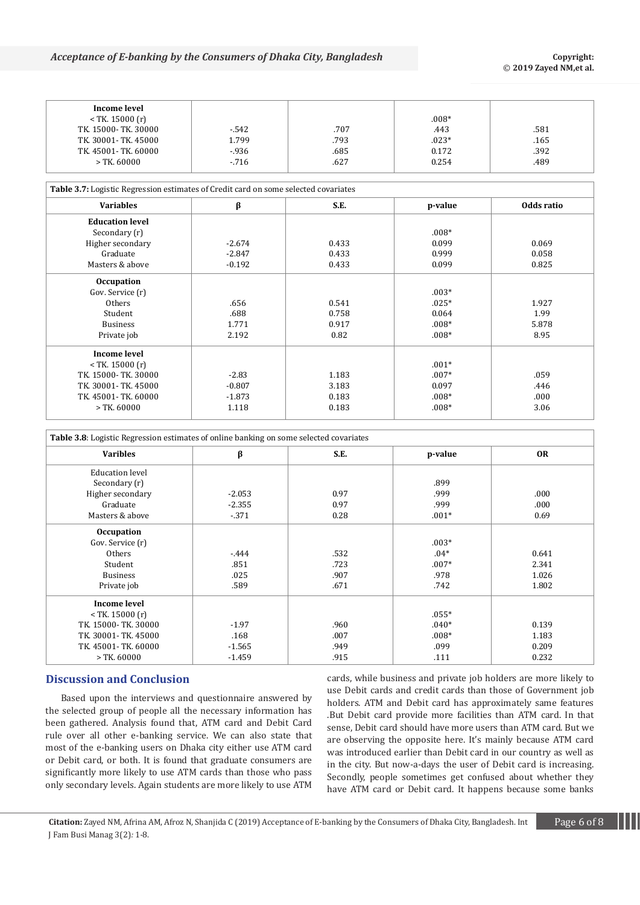## *Acceptance of E-banking by the Consumers of Dhaka City, Bangladesh* **Consumers** Copyright:

| Income level         |        |      |         |      |
|----------------------|--------|------|---------|------|
| $<$ TK. 15000 (r)    |        |      | $.008*$ |      |
| TK. 15000- TK. 30000 | $-542$ | .707 | .443    | .581 |
| TK. 30001- TK. 45000 | 1.799  | .793 | $.023*$ | .165 |
| TK. 45001- TK. 60000 | $-936$ | .685 | 0.172   | .392 |
| > TK. 60000          | $-716$ | .627 | 0.254   | .489 |

**Table 3.7:** Logistic Regression estimates of Credit card on some selected covariates

| rubre on responsive text conon commutes or create turn on some screeted covariates |          |       |         |            |  |  |  |
|------------------------------------------------------------------------------------|----------|-------|---------|------------|--|--|--|
| <b>Variables</b>                                                                   | β        | S.E.  | p-value | Odds ratio |  |  |  |
| <b>Education level</b>                                                             |          |       |         |            |  |  |  |
| Secondary (r)                                                                      |          |       | $.008*$ |            |  |  |  |
| Higher secondary                                                                   | $-2.674$ | 0.433 | 0.099   | 0.069      |  |  |  |
| Graduate                                                                           | $-2.847$ | 0.433 | 0.999   | 0.058      |  |  |  |
| Masters & above                                                                    | $-0.192$ | 0.433 | 0.099   | 0.825      |  |  |  |
| <b>Occupation</b>                                                                  |          |       |         |            |  |  |  |
| Gov. Service (r)                                                                   |          |       | $.003*$ |            |  |  |  |
| Others                                                                             | .656     | 0.541 | $.025*$ | 1.927      |  |  |  |
| Student                                                                            | .688     | 0.758 | 0.064   | 1.99       |  |  |  |
| <b>Business</b>                                                                    | 1.771    | 0.917 | $.008*$ | 5.878      |  |  |  |
| Private job                                                                        | 2.192    | 0.82  | $.008*$ | 8.95       |  |  |  |
| <b>Income level</b>                                                                |          |       |         |            |  |  |  |
| $<$ TK. 15000 (r)                                                                  |          |       | $.001*$ |            |  |  |  |
| TK. 15000-TK. 30000                                                                | $-2.83$  | 1.183 | $.007*$ | .059       |  |  |  |
| TK. 30001- TK. 45000                                                               | $-0.807$ | 3.183 | 0.097   | .446       |  |  |  |
| TK. 45001- TK. 60000                                                               | $-1.873$ | 0.183 | $.008*$ | .000       |  |  |  |
| $>$ TK. 60000                                                                      | 1.118    | 0.183 | $.008*$ | 3.06       |  |  |  |
|                                                                                    |          |       |         |            |  |  |  |

| <b>Table 3.8:</b> Logistic Regression estimates of online banking on some selected covariates |          |      |         |           |  |  |
|-----------------------------------------------------------------------------------------------|----------|------|---------|-----------|--|--|
| <b>Varibles</b>                                                                               | β        | S.E. | p-value | <b>OR</b> |  |  |
| <b>Education level</b>                                                                        |          |      |         |           |  |  |
| Secondary (r)                                                                                 |          |      | .899    |           |  |  |
| Higher secondary                                                                              | $-2.053$ | 0.97 | .999    | .000      |  |  |
| Graduate                                                                                      | $-2.355$ | 0.97 | .999    | .000      |  |  |
| Masters & above                                                                               | $-371$   | 0.28 | $.001*$ | 0.69      |  |  |
| Occupation                                                                                    |          |      |         |           |  |  |
| Gov. Service (r)                                                                              |          |      | $.003*$ |           |  |  |
| Others                                                                                        | $-444$   | .532 | $.04*$  | 0.641     |  |  |
| Student                                                                                       | .851     | .723 | $.007*$ | 2.341     |  |  |
| <b>Business</b>                                                                               | .025     | .907 | .978    | 1.026     |  |  |
| Private job                                                                                   | .589     | .671 | .742    | 1.802     |  |  |
| <b>Income level</b>                                                                           |          |      |         |           |  |  |
| $<$ TK. 15000 (r)                                                                             |          |      | $.055*$ |           |  |  |
| TK. 15000-TK. 30000                                                                           | $-1.97$  | .960 | $.040*$ | 0.139     |  |  |
| TK. 30001- TK. 45000                                                                          | .168     | .007 | $.008*$ | 1.183     |  |  |
| TK. 45001- TK. 60000                                                                          | $-1.565$ | .949 | .099    | 0.209     |  |  |
| $>$ TK. 60000                                                                                 | $-1.459$ | .915 | .111    | 0.232     |  |  |

# **Discussion and Conclusion**

Based upon the interviews and questionnaire answered by the selected group of people all the necessary information has been gathered. Analysis found that, ATM card and Debit Card rule over all other e-banking service. We can also state that most of the e-banking users on Dhaka city either use ATM card or Debit card, or both. It is found that graduate consumers are significantly more likely to use ATM cards than those who pass only secondary levels. Again students are more likely to use ATM

cards, while business and private job holders are more likely to use Debit cards and credit cards than those of Government job holders. ATM and Debit card has approximately same features .But Debit card provide more facilities than ATM card. In that sense, Debit card should have more users than ATM card. But we are observing the opposite here. It's mainly because ATM card was introduced earlier than Debit card in our country as well as in the city. But now-a-days the user of Debit card is increasing. Secondly, people sometimes get confused about whether they have ATM card or Debit card. It happens because some banks

**Citation:** Zayed NM, Afrina AM, Afroz N, Shanjida C (2019) Acceptance of E-banking by the Consumers of Dhaka City, Bangladesh. Int Page 6 of 8 J Fam Busi Manag 3(2)*:* 1*-*8.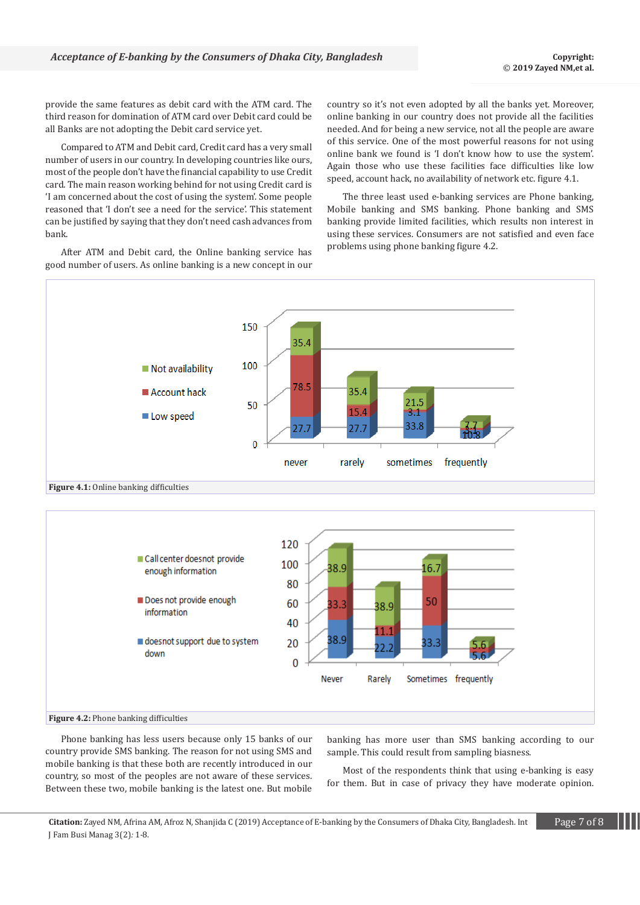provide the same features as debit card with the ATM card. The third reason for domination of ATM card over Debit card could be all Banks are not adopting the Debit card service yet.

Compared to ATM and Debit card, Credit card has a very small number of users in our country. In developing countries like ours, most of the people don't have the financial capability to use Credit card. The main reason working behind for not using Credit card is 'I am concerned about the cost of using the system'. Some people reasoned that 'I don't see a need for the service'. This statement can be justified by saying that they don't need cash advances from bank.

After ATM and Debit card, the Online banking service has good number of users. As online banking is a new concept in our country so it's not even adopted by all the banks yet. Moreover, online banking in our country does not provide all the facilities needed. And for being a new service, not all the people are aware of this service. One of the most powerful reasons for not using online bank we found is 'I don't know how to use the system'. Again those who use these facilities face difficulties like low speed, account hack, no availability of network etc. figure 4.1.

The three least used e-banking services are Phone banking, Mobile banking and SMS banking. Phone banking and SMS banking provide limited facilities, which results non interest in using these services. Consumers are not satisfied and even face problems using phone banking figure 4.2.



Phone banking has less users because only 15 banks of our country provide SMS banking. The reason for not using SMS and mobile banking is that these both are recently introduced in our country, so most of the peoples are not aware of these services. Between these two, mobile banking is the latest one. But mobile

banking has more user than SMS banking according to our sample. This could result from sampling biasness.

Most of the respondents think that using e-banking is easy for them. But in case of privacy they have moderate opinion.

**Citation:** Zayed NM, Afrina AM, Afroz N, Shanjida C (2019) Acceptance of E-banking by the Consumers of Dhaka City, Bangladesh. Int Page 7 of 8 J Fam Busi Manag 3(2)*:* 1*-*8.